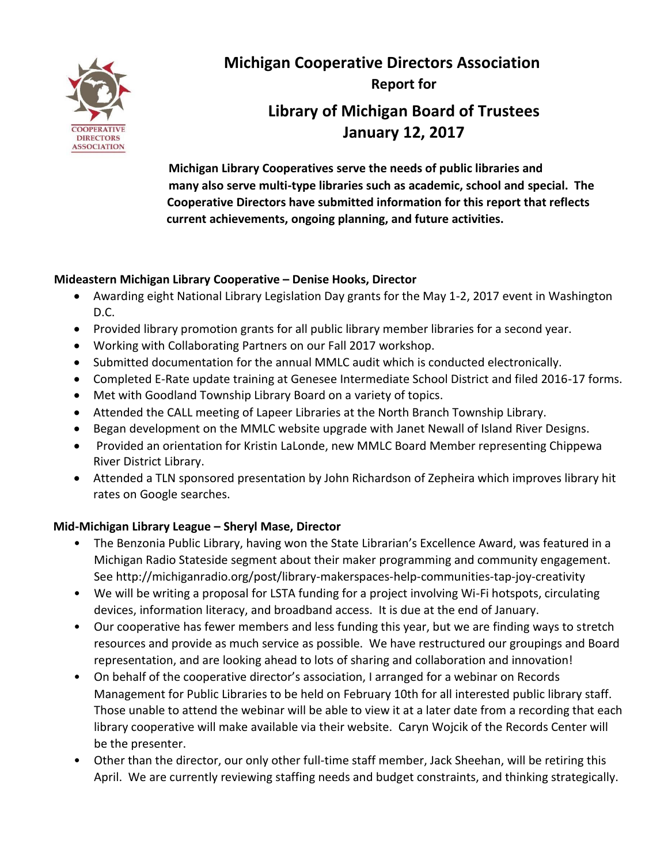

**Michigan Cooperative Directors Association Report for Library of Michigan Board of Trustees January 12, 2017**

**Michigan Library Cooperatives serve the needs of public libraries and many also serve multi-type libraries such as academic, school and special. The Cooperative Directors have submitted information for this report that reflects current achievements, ongoing planning, and future activities.** 

### **Mideastern Michigan Library Cooperative – Denise Hooks, Director**

- Awarding eight National Library Legislation Day grants for the May 1-2, 2017 event in Washington D.C.
- Provided library promotion grants for all public library member libraries for a second year.
- Working with Collaborating Partners on our Fall 2017 workshop.
- Submitted documentation for the annual MMLC audit which is conducted electronically.
- Completed E-Rate update training at Genesee Intermediate School District and filed 2016-17 forms.
- Met with Goodland Township Library Board on a variety of topics.
- Attended the CALL meeting of Lapeer Libraries at the North Branch Township Library.
- Began development on the MMLC website upgrade with Janet Newall of Island River Designs.
- Provided an orientation for Kristin LaLonde, new MMLC Board Member representing Chippewa River District Library.
- Attended a TLN sponsored presentation by John Richardson of Zepheira which improves library hit rates on Google searches.

#### **Mid-Michigan Library League – Sheryl Mase, Director**

- The Benzonia Public Library, having won the State Librarian's Excellence Award, was featured in a Michigan Radio Stateside segment about their maker programming and community engagement. See http://michiganradio.org/post/library-makerspaces-help-communities-tap-joy-creativity
- We will be writing a proposal for LSTA funding for a project involving Wi-Fi hotspots, circulating devices, information literacy, and broadband access. It is due at the end of January.
- Our cooperative has fewer members and less funding this year, but we are finding ways to stretch resources and provide as much service as possible. We have restructured our groupings and Board representation, and are looking ahead to lots of sharing and collaboration and innovation!
- On behalf of the cooperative director's association, I arranged for a webinar on Records Management for Public Libraries to be held on February 10th for all interested public library staff. Those unable to attend the webinar will be able to view it at a later date from a recording that each library cooperative will make available via their website. Caryn Wojcik of the Records Center will be the presenter.
- Other than the director, our only other full-time staff member, Jack Sheehan, will be retiring this April. We are currently reviewing staffing needs and budget constraints, and thinking strategically.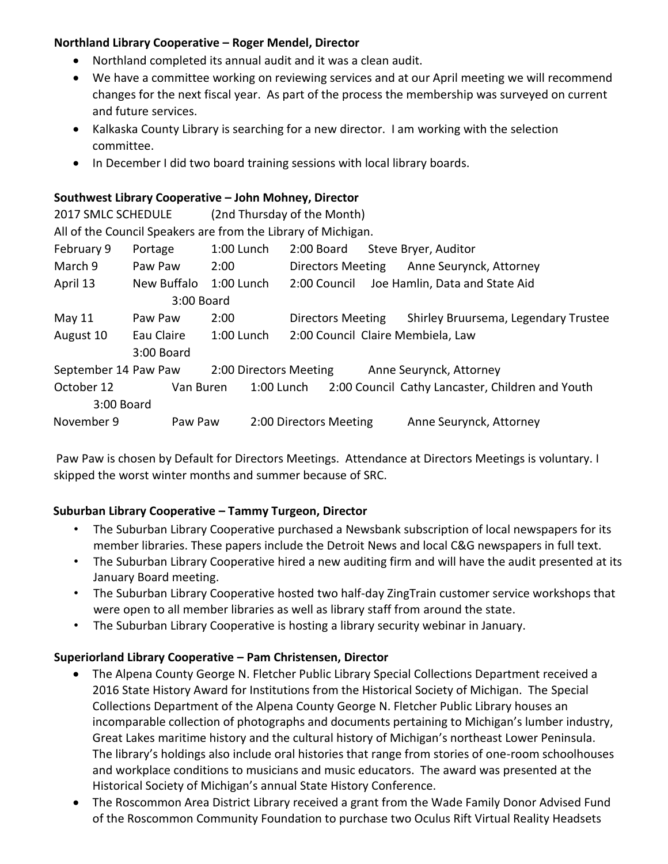### **Northland Library Cooperative – Roger Mendel, Director**

- Northland completed its annual audit and it was a clean audit.
- We have a committee working on reviewing services and at our April meeting we will recommend changes for the next fiscal year. As part of the process the membership was surveyed on current and future services.
- Kalkaska County Library is searching for a new director. I am working with the selection committee.
- In December I did two board training sessions with local library boards.

#### **Southwest Library Cooperative – John Mohney, Director**

2017 SMLC SCHEDULE (2nd Thursday of the Month)

All of the Council Speakers are from the Library of Michigan.

| February 9                                     | Portage                  | 1:00 Lunch   | 2:00 Board   |                                   |                         | Steve Bryer, Auditor                             |  |
|------------------------------------------------|--------------------------|--------------|--------------|-----------------------------------|-------------------------|--------------------------------------------------|--|
| March 9                                        | Paw Paw                  | 2:00         |              | <b>Directors Meeting</b>          |                         | Anne Seurynck, Attorney                          |  |
| April 13                                       | New Buffalo              | $1:00$ Lunch | 2:00 Council |                                   |                         | Joe Hamlin, Data and State Aid                   |  |
|                                                | 3:00 Board               |              |              |                                   |                         |                                                  |  |
| May $11$                                       | Paw Paw                  | 2:00         |              | <b>Directors Meeting</b>          |                         | Shirley Bruursema, Legendary Trustee             |  |
| August 10                                      | 1:00 Lunch<br>Eau Claire |              |              | 2:00 Council Claire Membiela, Law |                         |                                                  |  |
|                                                | 3:00 Board               |              |              |                                   |                         |                                                  |  |
| September 14 Paw Paw<br>2:00 Directors Meeting |                          |              |              |                                   | Anne Seurynck, Attorney |                                                  |  |
| October 12                                     | Van Buren                |              | 1:00 Lunch   |                                   |                         | 2:00 Council Cathy Lancaster, Children and Youth |  |
| 3:00 Board                                     |                          |              |              |                                   |                         |                                                  |  |
| November 9                                     |                          | Paw Paw      |              | 2:00 Directors Meeting            |                         | Anne Seurynck, Attorney                          |  |

Paw Paw is chosen by Default for Directors Meetings. Attendance at Directors Meetings is voluntary. I skipped the worst winter months and summer because of SRC.

# **Suburban Library Cooperative – Tammy Turgeon, Director**

- The Suburban Library Cooperative purchased a Newsbank subscription of local newspapers for its member libraries. These papers include the Detroit News and local C&G newspapers in full text.
- The Suburban Library Cooperative hired a new auditing firm and will have the audit presented at its January Board meeting.
- The Suburban Library Cooperative hosted two half-day ZingTrain customer service workshops that were open to all member libraries as well as library staff from around the state.
- The Suburban Library Cooperative is hosting a library security webinar in January.

#### **Superiorland Library Cooperative – Pam Christensen, Director**

- The Alpena County George N. Fletcher Public Library Special Collections Department received a 2016 State History Award for Institutions from the Historical Society of Michigan. The Special Collections Department of the Alpena County George N. Fletcher Public Library houses an incomparable collection of photographs and documents pertaining to Michigan's lumber industry, Great Lakes maritime history and the cultural history of Michigan's northeast Lower Peninsula. The library's holdings also include oral histories that range from stories of one-room schoolhouses and workplace conditions to musicians and music educators. The award was presented at the Historical Society of Michigan's annual State History Conference.
- The Roscommon Area District Library received a grant from the Wade Family Donor Advised Fund of the Roscommon Community Foundation to purchase two Oculus Rift Virtual Reality Headsets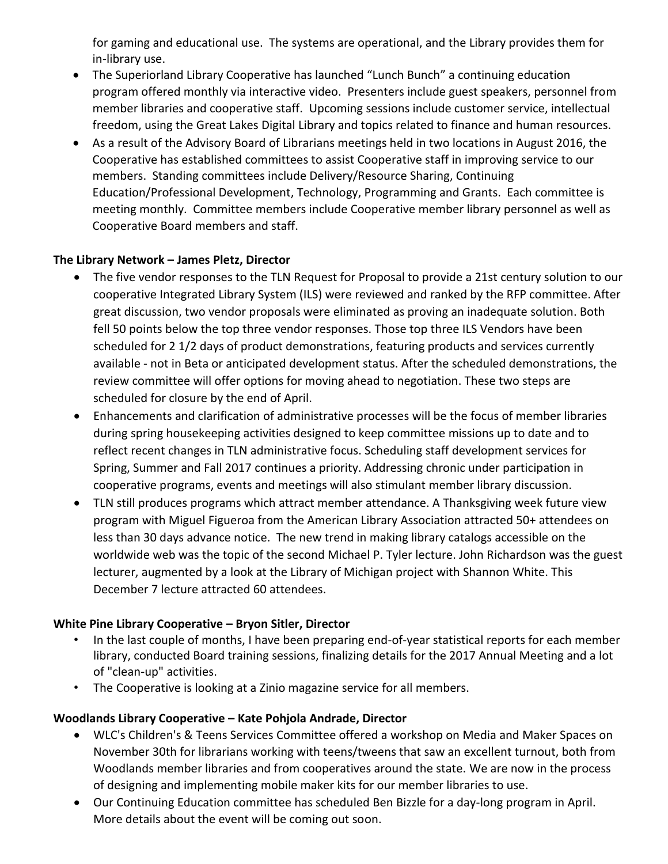for gaming and educational use. The systems are operational, and the Library provides them for in-library use.

- The Superiorland Library Cooperative has launched "Lunch Bunch" a continuing education program offered monthly via interactive video. Presenters include guest speakers, personnel from member libraries and cooperative staff. Upcoming sessions include customer service, intellectual freedom, using the Great Lakes Digital Library and topics related to finance and human resources.
- As a result of the Advisory Board of Librarians meetings held in two locations in August 2016, the Cooperative has established committees to assist Cooperative staff in improving service to our members. Standing committees include Delivery/Resource Sharing, Continuing Education/Professional Development, Technology, Programming and Grants. Each committee is meeting monthly. Committee members include Cooperative member library personnel as well as Cooperative Board members and staff.

### **The Library Network – James Pletz, Director**

- The five vendor responses to the TLN Request for Proposal to provide a 21st century solution to our cooperative Integrated Library System (ILS) were reviewed and ranked by the RFP committee. After great discussion, two vendor proposals were eliminated as proving an inadequate solution. Both fell 50 points below the top three vendor responses. Those top three ILS Vendors have been scheduled for 2 1/2 days of product demonstrations, featuring products and services currently available - not in Beta or anticipated development status. After the scheduled demonstrations, the review committee will offer options for moving ahead to negotiation. These two steps are scheduled for closure by the end of April.
- Enhancements and clarification of administrative processes will be the focus of member libraries during spring housekeeping activities designed to keep committee missions up to date and to reflect recent changes in TLN administrative focus. Scheduling staff development services for Spring, Summer and Fall 2017 continues a priority. Addressing chronic under participation in cooperative programs, events and meetings will also stimulant member library discussion.
- TLN still produces programs which attract member attendance. A Thanksgiving week future view program with Miguel Figueroa from the American Library Association attracted 50+ attendees on less than 30 days advance notice. The new trend in making library catalogs accessible on the worldwide web was the topic of the second Michael P. Tyler lecture. John Richardson was the guest lecturer, augmented by a look at the Library of Michigan project with Shannon White. This December 7 lecture attracted 60 attendees.

# **White Pine Library Cooperative – Bryon Sitler, Director**

- In the last couple of months, I have been preparing end-of-year statistical reports for each member library, conducted Board training sessions, finalizing details for the 2017 Annual Meeting and a lot of "clean-up" activities.
- The Cooperative is looking at a Zinio magazine service for all members.

# **Woodlands Library Cooperative – Kate Pohjola Andrade, Director**

- WLC's Children's & Teens Services Committee offered a workshop on Media and Maker Spaces on November 30th for librarians working with teens/tweens that saw an excellent turnout, both from Woodlands member libraries and from cooperatives around the state. We are now in the process of designing and implementing mobile maker kits for our member libraries to use.
- Our Continuing Education committee has scheduled Ben Bizzle for a day-long program in April. More details about the event will be coming out soon.